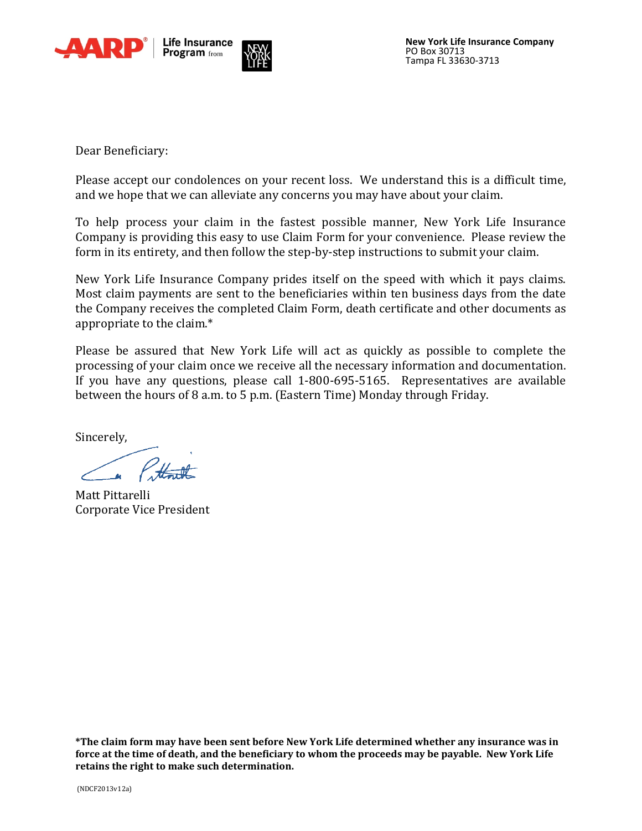



Dear Beneficiary:

Please accept our condolences on your recent loss. We understand this is a difficult time, and we hope that we can alleviate any concerns you may have about your claim.

To help process your claim in the fastest possible manner, New York Life Insurance Company is providing this easy to use Claim Form for your convenience. Please review the form in its entirety, and then follow the step-by-step instructions to submit your claim.

New York Life Insurance Company prides itself on the speed with which it pays claims. Most claim payments are sent to the beneficiaries within ten business days from the date the Company receives the completed Claim Form, death certificate and other documents as appropriate to the claim.\*

Please be assured that New York Life will act as quickly as possible to complete the processing of your claim once we receive all the necessary information and documentation. If you have any questions, please call 1-800-695-5165. Representatives are available between the hours of 8 a.m. to 5 p.m. (Eastern Time) Monday through Friday.

Sincerely,

1 Pottmith

Matt Pittarelli Corporate Vice President

**\*The claim form may have been sent before New York Life determined whether any insurance was in force at the time of death, and the beneficiary to whom the proceeds may be payable. New York Life retains the right to make such determination.**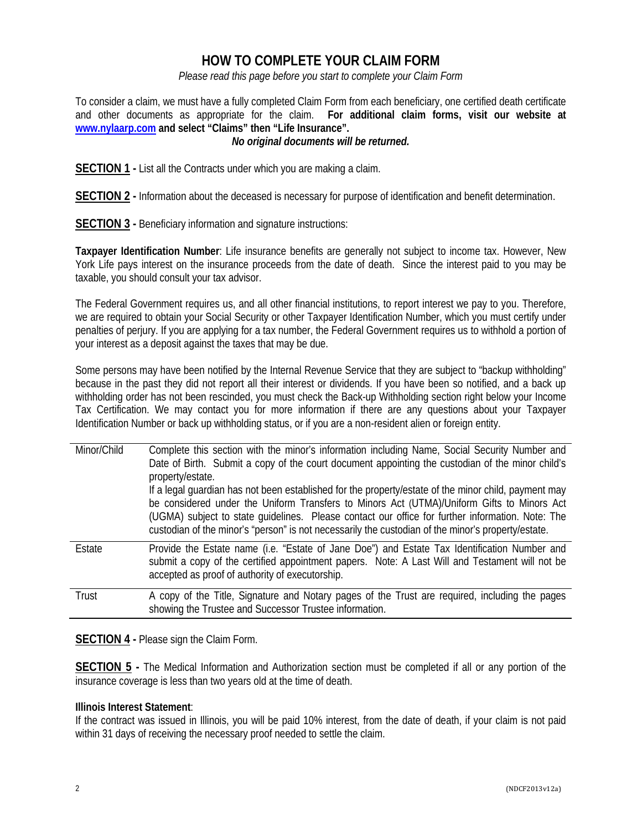# **HOW TO COMPLETE YOUR CLAIM FORM**

*Please read this page before you start to complete your Claim Form*

To consider a claim, we must have a fully completed Claim Form from each beneficiary, one certified death certificate and other documents as appropriate for the claim. **For additional claim forms, visit our website at [www.nylaarp.com](http://www.nylaarp.com/) and select "Claims" then "Life Insurance".**

# *No original documents will be returned.*

**SECTION 1 -** List all the Contracts under which you are making a claim.

**SECTION 2 -** Information about the deceased is necessary for purpose of identification and benefit determination.

**SECTION 3 -** Beneficiary information and signature instructions:

**Taxpayer Identification Number**: Life insurance benefits are generally not subject to income tax. However, New York Life pays interest on the insurance proceeds from the date of death. Since the interest paid to you may be taxable, you should consult your tax advisor.

The Federal Government requires us, and all other financial institutions, to report interest we pay to you. Therefore, we are required to obtain your Social Security or other Taxpayer Identification Number, which you must certify under penalties of perjury. If you are applying for a tax number, the Federal Government requires us to withhold a portion of your interest as a deposit against the taxes that may be due.

Some persons may have been notified by the Internal Revenue Service that they are subject to "backup withholding" because in the past they did not report all their interest or dividends. If you have been so notified, and a back up withholding order has not been rescinded, you must check the Back-up Withholding section right below your Income Tax Certification. We may contact you for more information if there are any questions about your Taxpayer Identification Number or back up withholding status, or if you are a non-resident alien or foreign entity.

| Minor/Child | Complete this section with the minor's information including Name, Social Security Number and<br>Date of Birth. Submit a copy of the court document appointing the custodian of the minor child's<br>property/estate.<br>If a legal guardian has not been established for the property/estate of the minor child, payment may<br>be considered under the Uniform Transfers to Minors Act (UTMA)/Uniform Gifts to Minors Act<br>(UGMA) subject to state quidelines. Please contact our office for further information. Note: The<br>custodian of the minor's "person" is not necessarily the custodian of the minor's property/estate. |
|-------------|---------------------------------------------------------------------------------------------------------------------------------------------------------------------------------------------------------------------------------------------------------------------------------------------------------------------------------------------------------------------------------------------------------------------------------------------------------------------------------------------------------------------------------------------------------------------------------------------------------------------------------------|
| Estate      | Provide the Estate name (i.e. "Estate of Jane Doe") and Estate Tax Identification Number and<br>submit a copy of the certified appointment papers. Note: A Last Will and Testament will not be<br>accepted as proof of authority of executorship.                                                                                                                                                                                                                                                                                                                                                                                     |
| Trust       | A copy of the Title, Signature and Notary pages of the Trust are required, including the pages<br>showing the Trustee and Successor Trustee information.                                                                                                                                                                                                                                                                                                                                                                                                                                                                              |

**SECTION 4 -** Please sign the Claim Form.

**SECTION 5 -** The Medical Information and Authorization section must be completed if all or any portion of the insurance coverage is less than two years old at the time of death.

# **Illinois Interest Statement**:

If the contract was issued in Illinois, you will be paid 10% interest, from the date of death, if your claim is not paid within 31 days of receiving the necessary proof needed to settle the claim.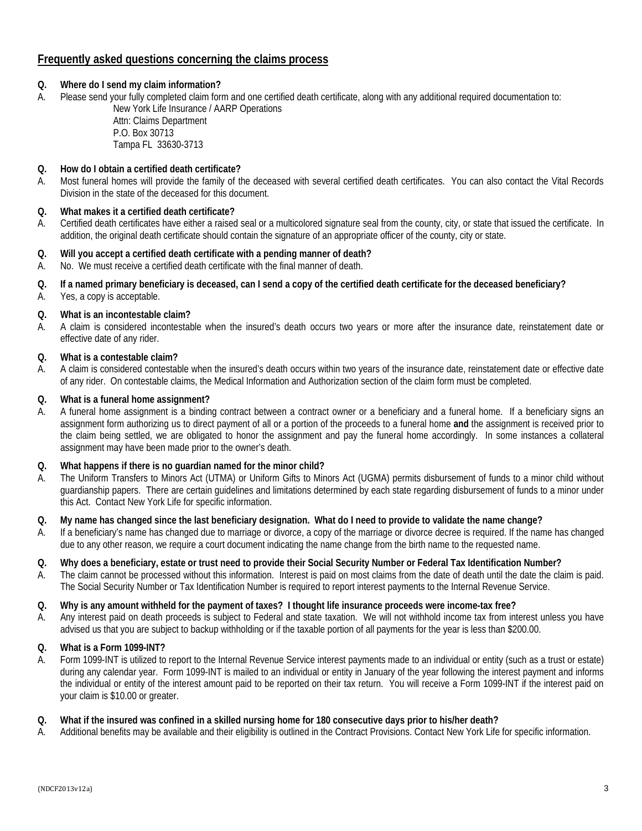# **Frequently asked questions concerning the claims process**

# **Q. Where do I send my claim information?**

A. Please send your fully completed claim form and one certified death certificate, along with any additional required documentation to:

New York Life Insurance / AARP Operations Attn: Claims Department P.O. Box 30713 Tampa FL 33630-3713

## **Q. How do I obtain a certified death certificate?**

A. Most funeral homes will provide the family of the deceased with several certified death certificates. You can also contact the Vital Records Division in the state of the deceased for this document.

# **Q. What makes it a certified death certificate?**

A. Certified death certificates have either a raised seal or a multicolored signature seal from the county, city, or state that issued the certificate. In addition, the original death certificate should contain the signature of an appropriate officer of the county, city or state.

# **Q. Will you accept a certified death certificate with a pending manner of death?**

A. No. We must receive a certified death certificate with the final manner of death.

# **Q. If a named primary beneficiary is deceased, can I send a copy of the certified death certificate for the deceased beneficiary?**

A. Yes, a copy is acceptable.

# **Q. What is an incontestable claim?**

A. A claim is considered incontestable when the insured's death occurs two years or more after the insurance date, reinstatement date or effective date of any rider.

#### **Q. What is a contestable claim?**

A. A claim is considered contestable when the insured's death occurs within two years of the insurance date, reinstatement date or effective date of any rider. On contestable claims, the Medical Information and Authorization section of the claim form must be completed.

#### **Q. What is a funeral home assignment?**

A. A funeral home assignment is a binding contract between a contract owner or a beneficiary and a funeral home. If a beneficiary signs an assignment form authorizing us to direct payment of all or a portion of the proceeds to a funeral home **and** the assignment is received prior to the claim being settled, we are obligated to honor the assignment and pay the funeral home accordingly. In some instances a collateral assignment may have been made prior to the owner's death.

#### **Q. What happens if there is no guardian named for the minor child?**

- A. The Uniform Transfers to Minors Act (UTMA) or Uniform Gifts to Minors Act (UGMA) permits disbursement of funds to a minor child without guardianship papers. There are certain guidelines and limitations determined by each state regarding disbursement of funds to a minor under this Act. Contact New York Life for specific information.
- **Q. My name has changed since the last beneficiary designation. What do I need to provide to validate the name change?**
- A. If a beneficiary's name has changed due to marriage or divorce, a copy of the marriage or divorce decree is required. If the name has changed due to any other reason, we require a court document indicating the name change from the birth name to the requested name.

# **Q. Why does a beneficiary, estate or trust need to provide their Social Security Number or Federal Tax Identification Number?**

A. The claim cannot be processed without this information. Interest is paid on most claims from the date of death until the date the claim is paid. The Social Security Number or Tax Identification Number is required to report interest payments to the Internal Revenue Service.

#### **Q. Why is any amount withheld for the payment of taxes? I thought life insurance proceeds were income-tax free?**

A. Any interest paid on death proceeds is subject to Federal and state taxation. We will not withhold income tax from interest unless you have advised us that you are subject to backup withholding or if the taxable portion of all payments for the year is less than \$200.00.

#### **Q. What is a Form 1099-INT?**

A. Form 1099-INT is utilized to report to the Internal Revenue Service interest payments made to an individual or entity (such as a trust or estate) during any calendar year. Form 1099-INT is mailed to an individual or entity in January of the year following the interest payment and informs the individual or entity of the interest amount paid to be reported on their tax return. You will receive a Form 1099-INT if the interest paid on your claim is \$10.00 or greater.

#### **Q. What if the insured was confined in a skilled nursing home for 180 consecutive days prior to his/her death?**

A. Additional benefits may be available and their eligibility is outlined in the Contract Provisions. Contact New York Life for specific information.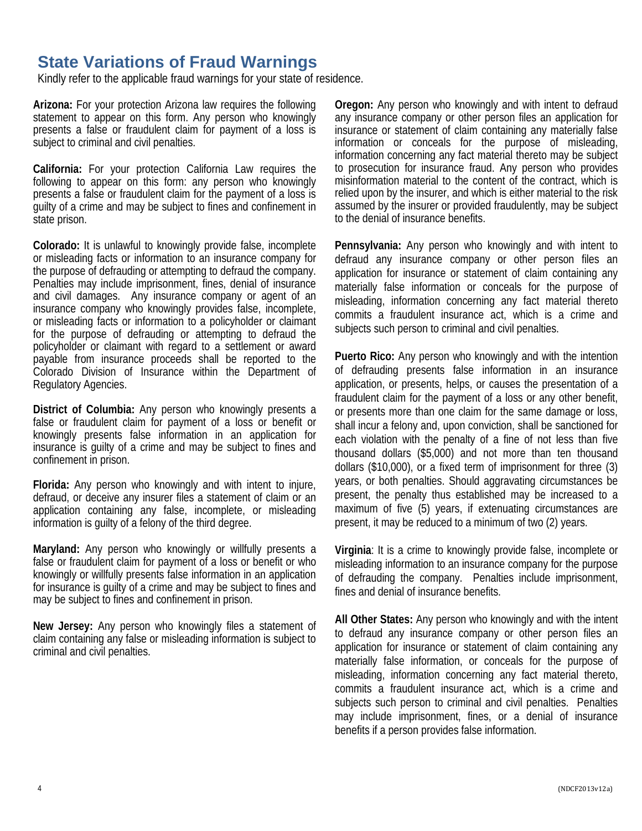# **State Variations of Fraud Warnings**

Kindly refer to the applicable fraud warnings for your state of residence.

**Arizona:** For your protection Arizona law requires the following statement to appear on this form. Any person who knowingly presents a false or fraudulent claim for payment of a loss is subject to criminal and civil penalties.

**California:** For your protection California Law requires the following to appear on this form: any person who knowingly presents a false or fraudulent claim for the payment of a loss is guilty of a crime and may be subject to fines and confinement in state prison.

**Colorado:** It is unlawful to knowingly provide false, incomplete or misleading facts or information to an insurance company for the purpose of defrauding or attempting to defraud the company. Penalties may include imprisonment, fines, denial of insurance and civil damages. Any insurance company or agent of an insurance company who knowingly provides false, incomplete, or misleading facts or information to a policyholder or claimant for the purpose of defrauding or attempting to defraud the policyholder or claimant with regard to a settlement or award payable from insurance proceeds shall be reported to the Colorado Division of Insurance within the Department of Regulatory Agencies.

**District of Columbia:** Any person who knowingly presents a false or fraudulent claim for payment of a loss or benefit or knowingly presents false information in an application for insurance is guilty of a crime and may be subject to fines and confinement in prison.

**Florida:** Any person who knowingly and with intent to injure, defraud, or deceive any insurer files a statement of claim or an application containing any false, incomplete, or misleading information is guilty of a felony of the third degree.

**Maryland:** Any person who knowingly or willfully presents a false or fraudulent claim for payment of a loss or benefit or who knowingly or willfully presents false information in an application for insurance is guilty of a crime and may be subject to fines and may be subject to fines and confinement in prison.

**New Jersey:** Any person who knowingly files a statement of claim containing any false or misleading information is subject to criminal and civil penalties.

**Oregon:** Any person who knowingly and with intent to defraud any insurance company or other person files an application for insurance or statement of claim containing any materially false information or conceals for the purpose of misleading, information concerning any fact material thereto may be subject to prosecution for insurance fraud. Any person who provides misinformation material to the content of the contract, which is relied upon by the insurer, and which is either material to the risk assumed by the insurer or provided fraudulently, may be subject to the denial of insurance benefits.

**Pennsylvania:** Any person who knowingly and with intent to defraud any insurance company or other person files an application for insurance or statement of claim containing any materially false information or conceals for the purpose of misleading, information concerning any fact material thereto commits a fraudulent insurance act, which is a crime and subjects such person to criminal and civil penalties.

**Puerto Rico:** Any person who knowingly and with the intention of defrauding presents false information in an insurance application, or presents, helps, or causes the presentation of a fraudulent claim for the payment of a loss or any other benefit, or presents more than one claim for the same damage or loss, shall incur a felony and, upon conviction, shall be sanctioned for each violation with the penalty of a fine of not less than five thousand dollars (\$5,000) and not more than ten thousand dollars (\$10,000), or a fixed term of imprisonment for three (3) years, or both penalties. Should aggravating circumstances be present, the penalty thus established may be increased to a maximum of five (5) years, if extenuating circumstances are present, it may be reduced to a minimum of two (2) years.

**Virginia**: It is a crime to knowingly provide false, incomplete or misleading information to an insurance company for the purpose of defrauding the company. Penalties include imprisonment, fines and denial of insurance benefits.

**All Other States:** Any person who knowingly and with the intent to defraud any insurance company or other person files an application for insurance or statement of claim containing any materially false information, or conceals for the purpose of misleading, information concerning any fact material thereto, commits a fraudulent insurance act, which is a crime and subjects such person to criminal and civil penalties. Penalties may include imprisonment, fines, or a denial of insurance benefits if a person provides false information.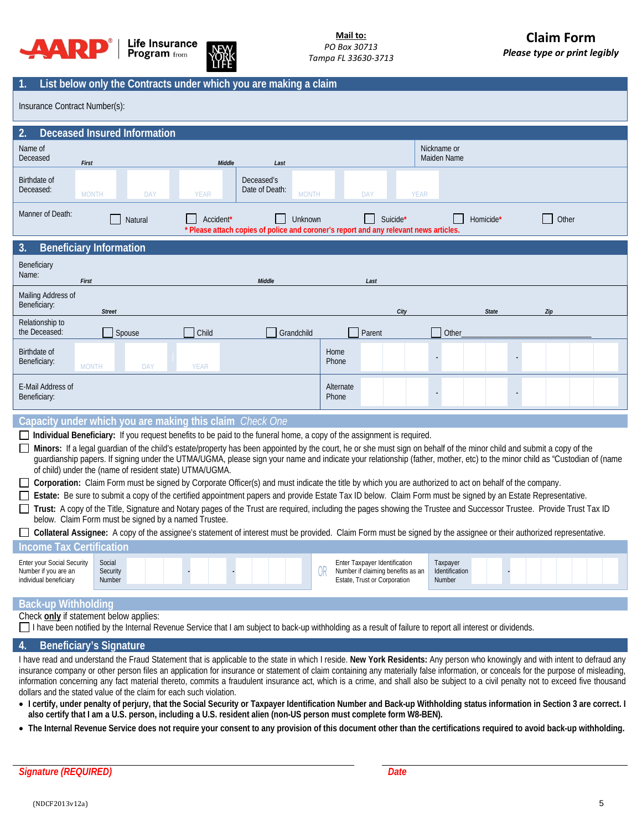



# **1. List below only the Contracts under which you are making a claim**

Insurance Contract Number(s):

| $\overline{2}$ .                                                                                                                                                                                                                                                                                                                                                                                                                                                                                                                                                                                                                                                                                                                                                                                                                                                                                                                                                                                                                                                                                              |                                                                                                                                                                                                       | <b>Deceased Insured Information</b> |             |                                              |                    |                                                                                                    |             |                                      |              |     |  |  |
|---------------------------------------------------------------------------------------------------------------------------------------------------------------------------------------------------------------------------------------------------------------------------------------------------------------------------------------------------------------------------------------------------------------------------------------------------------------------------------------------------------------------------------------------------------------------------------------------------------------------------------------------------------------------------------------------------------------------------------------------------------------------------------------------------------------------------------------------------------------------------------------------------------------------------------------------------------------------------------------------------------------------------------------------------------------------------------------------------------------|-------------------------------------------------------------------------------------------------------------------------------------------------------------------------------------------------------|-------------------------------------|-------------|----------------------------------------------|--------------------|----------------------------------------------------------------------------------------------------|-------------|--------------------------------------|--------------|-----|--|--|
| Name of<br>Deceased<br>First                                                                                                                                                                                                                                                                                                                                                                                                                                                                                                                                                                                                                                                                                                                                                                                                                                                                                                                                                                                                                                                                                  |                                                                                                                                                                                                       |                                     | Middle      | Last                                         |                    |                                                                                                    |             | Nickname or<br>Maiden Name           |              |     |  |  |
| Birthdate of<br>Deceased:                                                                                                                                                                                                                                                                                                                                                                                                                                                                                                                                                                                                                                                                                                                                                                                                                                                                                                                                                                                                                                                                                     | <b>MONTH</b>                                                                                                                                                                                          | DAY                                 | <b>YEAR</b> | Deceased's<br>Date of Death:<br><b>MONTH</b> |                    | <b>DAY</b>                                                                                         | <b>YEAR</b> |                                      |              |     |  |  |
| Manner of Death:<br>Suicide*<br>Accident*<br>Unknown<br>Homicide'<br>Other<br>Natural<br>* Please attach copies of police and coroner's report and any relevant news articles                                                                                                                                                                                                                                                                                                                                                                                                                                                                                                                                                                                                                                                                                                                                                                                                                                                                                                                                 |                                                                                                                                                                                                       |                                     |             |                                              |                    |                                                                                                    |             |                                      |              |     |  |  |
| 3.<br><b>Beneficiary Information</b>                                                                                                                                                                                                                                                                                                                                                                                                                                                                                                                                                                                                                                                                                                                                                                                                                                                                                                                                                                                                                                                                          |                                                                                                                                                                                                       |                                     |             |                                              |                    |                                                                                                    |             |                                      |              |     |  |  |
| Beneficiary<br>Name:<br>First                                                                                                                                                                                                                                                                                                                                                                                                                                                                                                                                                                                                                                                                                                                                                                                                                                                                                                                                                                                                                                                                                 |                                                                                                                                                                                                       |                                     |             | Middle                                       |                    | Last                                                                                               |             |                                      |              |     |  |  |
| Mailing Address of<br>Beneficiary:                                                                                                                                                                                                                                                                                                                                                                                                                                                                                                                                                                                                                                                                                                                                                                                                                                                                                                                                                                                                                                                                            | <b>Street</b>                                                                                                                                                                                         |                                     |             |                                              |                    | City                                                                                               |             |                                      | <b>State</b> | Zip |  |  |
| Relationship to<br>the Deceased:                                                                                                                                                                                                                                                                                                                                                                                                                                                                                                                                                                                                                                                                                                                                                                                                                                                                                                                                                                                                                                                                              |                                                                                                                                                                                                       | Spouse                              | Child       | Grandchild                                   |                    | Parent                                                                                             |             | Other                                |              |     |  |  |
| Birthdate of<br>Beneficiary:                                                                                                                                                                                                                                                                                                                                                                                                                                                                                                                                                                                                                                                                                                                                                                                                                                                                                                                                                                                                                                                                                  | <b>MONTH</b>                                                                                                                                                                                          | DAY                                 | <b>YEAR</b> |                                              | Home<br>Phone      |                                                                                                    |             |                                      |              |     |  |  |
| E-Mail Address of<br>Beneficiary:                                                                                                                                                                                                                                                                                                                                                                                                                                                                                                                                                                                                                                                                                                                                                                                                                                                                                                                                                                                                                                                                             |                                                                                                                                                                                                       |                                     |             |                                              | Alternate<br>Phone |                                                                                                    |             |                                      |              |     |  |  |
| Capacity under which you are making this claim Check One                                                                                                                                                                                                                                                                                                                                                                                                                                                                                                                                                                                                                                                                                                                                                                                                                                                                                                                                                                                                                                                      |                                                                                                                                                                                                       |                                     |             |                                              |                    |                                                                                                    |             |                                      |              |     |  |  |
| Individual Beneficiary: If you request benefits to be paid to the funeral home, a copy of the assignment is required.<br>Minors: If a legal guardian of the child's estate/property has been appointed by the court, he or she must sign on behalf of the minor child and submit a copy of the<br>guardianship papers. If signing under the UTMA/UGMA, please sign your name and indicate your relationship (father, mother, etc) to the minor child as "Custodian of (name<br>of child) under the (name of resident state) UTMA/UGMA.<br>Corporation: Claim Form must be signed by Corporate Officer(s) and must indicate the title by which you are authorized to act on behalf of the company.<br>Estate: Be sure to submit a copy of the certified appointment papers and provide Estate Tax ID below. Claim Form must be signed by an Estate Representative.<br>Trust: A copy of the Title, Signature and Notary pages of the Trust are required, including the pages showing the Trustee and Successor Trustee. Provide Trust Tax ID<br>$\perp$<br>below. Claim Form must be signed by a named Trustee. |                                                                                                                                                                                                       |                                     |             |                                              |                    |                                                                                                    |             |                                      |              |     |  |  |
| Collateral Assignee: A copy of the assignee's statement of interest must be provided. Claim Form must be signed by the assignee or their authorized representative.                                                                                                                                                                                                                                                                                                                                                                                                                                                                                                                                                                                                                                                                                                                                                                                                                                                                                                                                           |                                                                                                                                                                                                       |                                     |             |                                              |                    |                                                                                                    |             |                                      |              |     |  |  |
| <b>Income Tax Certification</b>                                                                                                                                                                                                                                                                                                                                                                                                                                                                                                                                                                                                                                                                                                                                                                                                                                                                                                                                                                                                                                                                               |                                                                                                                                                                                                       |                                     |             |                                              |                    |                                                                                                    |             |                                      |              |     |  |  |
| <b>Enter your Social Security</b><br>Number if you are an<br>individual beneficiary                                                                                                                                                                                                                                                                                                                                                                                                                                                                                                                                                                                                                                                                                                                                                                                                                                                                                                                                                                                                                           | Social<br>Security<br>Number                                                                                                                                                                          |                                     |             |                                              | 0R                 | Enter Taxpayer Identification<br>Number if claiming benefits as an<br>Estate, Trust or Corporation |             | Taxpayer<br>Identification<br>Number |              |     |  |  |
| <b>Back-up Withholding</b>                                                                                                                                                                                                                                                                                                                                                                                                                                                                                                                                                                                                                                                                                                                                                                                                                                                                                                                                                                                                                                                                                    |                                                                                                                                                                                                       |                                     |             |                                              |                    |                                                                                                    |             |                                      |              |     |  |  |
|                                                                                                                                                                                                                                                                                                                                                                                                                                                                                                                                                                                                                                                                                                                                                                                                                                                                                                                                                                                                                                                                                                               | Check only if statement below applies:<br>□ I have been notified by the Internal Revenue Service that I am subject to back-up withholding as a result of failure to report all interest or dividends. |                                     |             |                                              |                    |                                                                                                    |             |                                      |              |     |  |  |

#### **4. Beneficiary's Signature**

I have read and understand the Fraud Statement that is applicable to the state in which I reside. **New York Residents:** Any person who knowingly and with intent to defraud any insurance company or other person files an application for insurance or statement of claim containing any materially false information, or conceals for the purpose of misleading, information concerning any fact material thereto, commits a fraudulent insurance act, which is a crime, and shall also be subject to a civil penalty not to exceed five thousand dollars and the stated value of the claim for each such violation.

- **I certify, under penalty of perjury, that the Social Security or Taxpayer Identification Number and Back-up Withholding status information in Section 3 are correct. I also certify that I am a U.S. person, including a U.S. resident alien (non-US person must complete form W8-BEN).**
- **The Internal Revenue Service does not require your consent to any provision of this document other than the certifications required to avoid back-up withholding.**

*Signature (REQUIRED) Date*